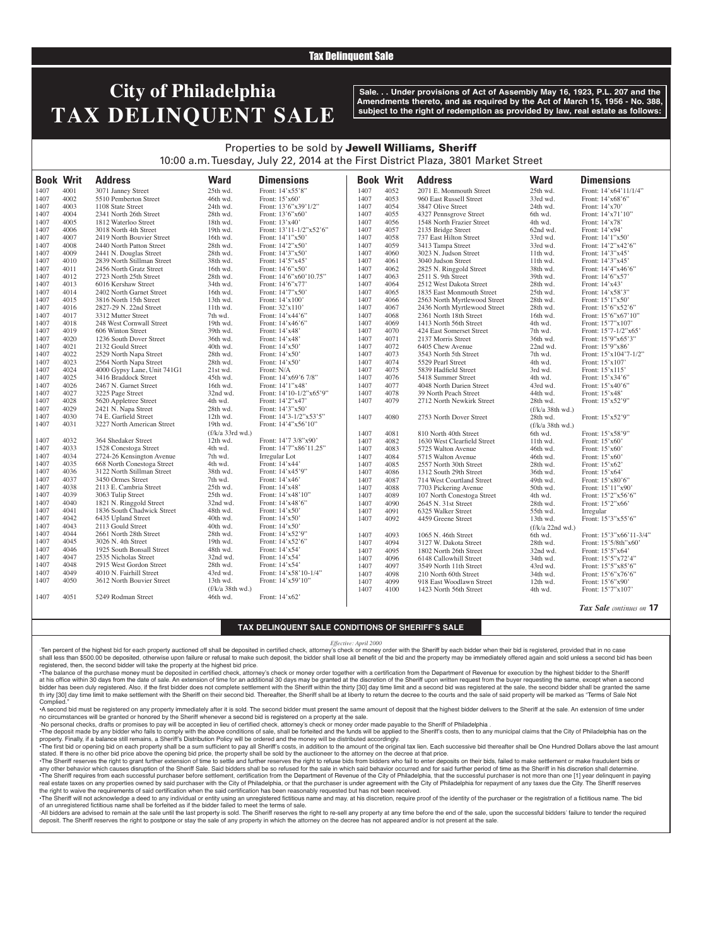## Tax Delinquent Sale

# **City of Philadelphia TAX DELINQUENT SALE**

**Sale. . . Under provisions of Act of Assembly May 16, 1923, P.L. 207 and the Amendments thereto, and as required by the Act of March 15, 1956 - No. 388, subject to the right of redemption as provided by law, real estate as follows:**

*Tax Sale continues on* **17**

## Properties to be sold by Jewell Williams, Sheriff 10:00 a.m. Tuesday, July 22, 2014 at the First District Plaza, 3801 Market Street

| 4001<br>3071 Janney Street<br>25th wd.<br>Front: 14'x55'8"<br>1407<br>4052<br>2071 E. Monmouth Street<br>25th wd.<br>Front: 14'x64'11/1/4"<br>1407<br>1407<br>4002<br>46th wd.<br>4053<br>33rd wd.<br>5510 Pemberton Street<br>Front: 15'x60'<br>960 East Russell Street<br>Front: 14'x68'6"<br>1407<br>4003<br>1407<br>4054<br>1108 State Street<br>24th wd.<br>Front: 13'6"x39'1/2"<br>3847 Olive Street<br>24th wd.<br>Front: 14'x70'<br>1407<br>1407<br>1407<br>4004<br>2341 North 26th Street<br>28th wd.<br>Front: 13'6"x60"<br>4055<br>4327 Pennsgrove Street<br>Front: 14'x71'10"<br>6th wd.<br>1407<br>4005<br>18th wd.<br>4056<br>4th wd.<br>1407<br>1812 Waterloo Street<br>Front: 13'x40'<br>1548 North Frazier Street<br>Front: 14'x78'<br>4006<br>Front: 13'11-1/2"x52'6"<br>1407<br>4057<br>2135 Bridge Street<br>Front: 14'x94'<br>1407<br>3018 North 4th Street<br>19th wd.<br>62nd wd.<br>4007<br>1407<br>4058<br>1407<br>2419 North Bouvier Street<br>16th wd.<br>Front: 14'1"x50'<br>737 East Hilton Street<br>33rd wd.<br>Front: 14'1"x50'<br>1407<br>4008<br>2440 North Patton Street<br>28th wd.<br>Front: 14'2"x50'<br>1407<br>4059<br>3413 Tampa Street<br>33rd wd.<br>Front: 14'2"x42'6"<br>1407<br>4009<br>28th wd.<br>Front: 14'3"x50'<br>4060<br>3023 N. Judson Street<br>11th wd.<br>Front: 14'3"x45'<br>1407<br>2441 N. Douglas Street<br>1407<br>4010<br>4061<br>1407<br>2839 North Stillman Street<br>38th wd.<br>Front: 14'5"x45"<br>3040 Judson Street<br>11th wd.<br>Front: 14'3"x45'<br>4011<br>Front: 14'6"x50"<br>1407<br>4062<br>2825 N. Ringgold Street<br>38th wd.<br>Front: 14'4"x46'6"<br>1407<br>2456 North Gratz Street<br>16th wd.<br>4012<br>Front: 14'6"x60'10.75"<br>1407<br>4063<br>2511 S. 9th Street<br>39th wd.<br>1407<br>2723 North 25th Street<br>28th wd.<br>Front: 14'6"x57'<br>1407<br>4013<br>4064<br>2512 West Dakota Street<br>28th wd.<br>1407<br>6016 Kershaw Street<br>34th wd.<br>Front: 14'6"x77'<br>Front: 14'x43'<br>Front: 14'7"x50'<br>1407<br>1407<br>4014<br>2402 North Garnet Street<br>16th wd.<br>4065<br>1835 East Monmouth Street<br>25th wd.<br>Front: 14'x58'3"<br>1407<br>4015<br>4066<br>28th wd.<br>1407<br>3816 North 15th Street<br>13th wd.<br>Front: $14'x100'$<br>2563 North Myrtlewood Street<br>Front: 15'1"x50'<br>1407<br>4016<br>2827-29 N. 22nd Street<br>11th wd.<br>Front: 32'x110'<br>4067<br>2436 North Myrtlewood Street<br>28th wd.<br>Front: 15'6"x52'6"<br>1407<br>4017<br>1407<br>4068<br>2361 North 18th Street<br>16th wd.<br>Front: 15'6"x67'10"<br>1407<br>3312 Mutter Street<br>7th wd.<br>Front: 14'x44'6"<br>1407<br>4018<br>19th wd.<br>4069<br>1413 North 56th Street<br>4th wd.<br>Front: 15'7"x107'<br>1407<br>248 West Cornwall Street<br>Front: 14'x46'6"<br>4019<br>1407<br>4070<br>1407<br>606 Winton Street<br>39th wd.<br>Front: 14'x48'<br>424 East Somerset Street<br>7th wd.<br>Front: 15'7-1/2"x65'<br>1407<br>4020<br>36th wd.<br>4071<br>36th wd.<br>Front: 15'9"x65'3"<br>1407<br>1236 South Dover Street<br>Front: 14'x48'<br>2137 Morris Street<br>1407<br>4072<br>1407<br>4021<br>2132 Gould Street<br>40th wd.<br>Front: 14'x50'<br>6405 Chew Avenue<br>22nd wd.<br>Front: 15'9"x86'<br>1407<br>4022<br>28th wd.<br>4073<br>7th wd.<br>Front: 15'x104'7-1/2"<br>1407<br>2529 North Napa Street<br>Front: $14'x50'$<br>3543 North 5th Street<br>4023<br>1407<br>4074<br>2564 North Napa Street<br>28th wd.<br>Front: 14'x50'<br>5529 Pearl Street<br>4th wd.<br>Front: 15'x107'<br>1407<br>4024<br>4000 Gypsy Lane, Unit 741G1<br>21st wd.<br>Front: N/A<br>1407<br>4075<br>5839 Hadfield Street<br>3rd wd.<br>Front: 15'x115'<br>1407<br>1407<br>4025<br>4076<br>1407<br>3416 Braddock Street<br>45th wd.<br>Front: 14'x69'6 7/8"<br>5418 Summer Street<br>4th wd.<br>Front: 15'x34'6"<br>1407<br>4077<br>4026<br>2467 N. Garnet Street<br>16th wd.<br>Front: 14'1"x48'<br>4048 North Darien Street<br>43rd wd.<br>Front: 15'x40'6"<br>1407<br>1407<br>4027<br>3225 Page Street<br>32nd wd.<br>Front: 14'10-1/2"x65'9"<br>4078<br>44th wd.<br>Front: 15'x48'<br>1407<br>39 North Peach Street<br>1407<br>4028<br>4079<br>28th wd.<br>1407<br>5620 Appletree Street<br>4th wd.<br>2712 North Newkirk Street<br>Front: 15'x52'9"<br>Front: 14'2"x47'<br>4029<br>2421 N. Napa Street<br>Front: 14'3"x50"<br>1407<br>28th wd.<br>(f/k/a 38th wd.)<br>4030<br>1407<br>74 E. Garfield Street<br>12th wd.<br>Front: 14'3-1/2"x53'5"<br>1407<br>4080<br>Front: 15'x52'9"<br>2753 North Dover Street<br>28th wd.<br>4031<br>1407<br>3227 North American Street<br>19th wd.<br>Front: $14'4''x56'10''$<br>(f/k/a 38th wd.)<br>$(f/k/a \cdot 33rd \cdot wd.)$<br>1407<br>4081<br>Front: 15'x58'9"<br>810 North 40th Street<br>6th wd.<br>1407<br>4032<br>364 Shedaker Street<br>12th wd.<br>Front: 14'7 3/8"x90"<br>1407<br>4082<br>1630 West Clearfield Street<br>11th wd.<br>Front: 15'x60'<br>4033<br>Front: 14'7"x86'11.25"<br>1407<br>1528 Conestoga Street<br>4th wd.<br>1407<br>4083<br>46th wd.<br>Front: 15'x60'<br>5725 Walton Avenue<br>4034<br>1407<br>2724-26 Kensington Avenue<br>7th wd.<br>Irregular Lot<br>1407<br>4084<br>5715 Walton Avenue<br>46th wd.<br>Front: 15'x60'<br>4035<br>668 North Conestoga Street<br>1407<br>4085<br>1407<br>4th wd.<br>Front: 14'x44'<br>28th wd.<br>2557 North 30th Street<br>Front: 15'x62'<br>4036<br>3122 North Stillman Street<br>1407<br>38th wd.<br>Front: 14'x45'9"<br>1407<br>4086<br>36th wd.<br>Front: 15'x64'<br>1312 South 29th Street<br>4037<br>3450 Ormes Street<br>7th wd.<br>Front: 14'x46'<br>1407<br>1407<br>4087<br>Front: 15'x80'6"<br>714 West Courtland Street<br>49th wd.<br>4038<br>1407<br>2113 E. Cambria Street<br>25th wd.<br>Front: $14'x48'$<br>1407<br>4088<br>7703 Pickering Avenue<br>50th wd.<br>Front: 15'11"x90'<br>4039<br>3063 Tulip Street<br>25th wd.<br>1407<br>Front: 14'x48'10"<br>1407<br>4089<br>107 North Conestoga Street<br>4th wd.<br>Front: 15'2"x56'6"<br>4040<br>32nd wd.<br>1407<br>1821 N. Ringgold Street<br>Front: 14'x48'6"<br>1407<br>4090<br>2645 N. 31st Street<br>Front: 15'2"x66'<br>28th wd.<br>4041<br>1407<br>1836 South Chadwick Street<br>48th wd.<br>Front: 14'x50'<br>1407<br>4091<br>6325 Walker Street<br>55th wd.<br>Irregular<br>4042<br>1407<br>6435 Upland Street<br>40th wd.<br>Front: 14'x50'<br>1407<br>4092<br>4459 Greene Street<br>13th wd.<br>Front: 15'3"x55'6"<br>4043<br>2113 Gould Street<br>40th wd.<br>Front: 14'x50'<br>1407<br>(f/k/a 22nd wd.)<br>4044<br>1407<br>2661 North 28th Street<br>28th wd.<br>Front: 14'x52'9"<br>1407<br>4093<br>1065 N. 46th Street<br>6th wd.<br>Front: 15'3"x66'11-3/4"<br>4045<br>1407<br>3026 N. 4th Street<br>19th wd.<br>Front: 14'x52'6"<br>1407<br>4094<br>3127 W. Dakota Street<br>28th wd.<br>Front: 15'5/8th"x60'<br>4046<br>1407<br>1925 South Bonsall Street<br>48th wd.<br>Front: 14'x54'<br>1407<br>4095<br>32nd wd.<br>1802 North 26th Street<br>Front: 15'5"x64'<br>4047<br>2535 Nicholas Street<br>32nd wd.<br>Front: 14'x54'<br>1407<br>1407<br>4096<br>6148 Callowhill Street<br>34th wd.<br>Front: 15'5"x72'4"<br>4048<br>2915 West Gordon Street<br>28th wd.<br>Front: 14'x54'<br>1407<br>1407<br>4097<br>Front: 15'5"x85'6"<br>3549 North 11th Street<br>43rd wd.<br>4049<br>1407<br>4010 N. Fairhill Street<br>43rd wd.<br>Front: 14'x58'10-1/4"<br>1407<br>4098<br>34th wd.<br>210 North 60th Street<br>Front: 15'6"x76'6"<br>4050<br>1407<br>3612 North Bouvier Street<br>13th wd.<br>Front: 14'x59'10"<br>1407<br>4099<br>12th wd.<br>Front: 15'6"x90"<br>918 East Woodlawn Street<br>(f/k/a 38th wd.)<br>1407<br>4100<br>Front: 15'7"x107'<br>1423 North 56th Street<br>4th wd.<br>1407<br>4051<br>Front: 14'x62'<br>5249 Rodman Street | <b>Book Writ</b> | <b>Address</b> | <b>Ward</b> | <b>Dimensions</b> | <b>Book Writ</b> | <b>Address</b> | <b>Ward</b> | <b>Dimensions</b> |
|-------------------------------------------------------------------------------------------------------------------------------------------------------------------------------------------------------------------------------------------------------------------------------------------------------------------------------------------------------------------------------------------------------------------------------------------------------------------------------------------------------------------------------------------------------------------------------------------------------------------------------------------------------------------------------------------------------------------------------------------------------------------------------------------------------------------------------------------------------------------------------------------------------------------------------------------------------------------------------------------------------------------------------------------------------------------------------------------------------------------------------------------------------------------------------------------------------------------------------------------------------------------------------------------------------------------------------------------------------------------------------------------------------------------------------------------------------------------------------------------------------------------------------------------------------------------------------------------------------------------------------------------------------------------------------------------------------------------------------------------------------------------------------------------------------------------------------------------------------------------------------------------------------------------------------------------------------------------------------------------------------------------------------------------------------------------------------------------------------------------------------------------------------------------------------------------------------------------------------------------------------------------------------------------------------------------------------------------------------------------------------------------------------------------------------------------------------------------------------------------------------------------------------------------------------------------------------------------------------------------------------------------------------------------------------------------------------------------------------------------------------------------------------------------------------------------------------------------------------------------------------------------------------------------------------------------------------------------------------------------------------------------------------------------------------------------------------------------------------------------------------------------------------------------------------------------------------------------------------------------------------------------------------------------------------------------------------------------------------------------------------------------------------------------------------------------------------------------------------------------------------------------------------------------------------------------------------------------------------------------------------------------------------------------------------------------------------------------------------------------------------------------------------------------------------------------------------------------------------------------------------------------------------------------------------------------------------------------------------------------------------------------------------------------------------------------------------------------------------------------------------------------------------------------------------------------------------------------------------------------------------------------------------------------------------------------------------------------------------------------------------------------------------------------------------------------------------------------------------------------------------------------------------------------------------------------------------------------------------------------------------------------------------------------------------------------------------------------------------------------------------------------------------------------------------------------------------------------------------------------------------------------------------------------------------------------------------------------------------------------------------------------------------------------------------------------------------------------------------------------------------------------------------------------------------------------------------------------------------------------------------------------------------------------------------------------------------------------------------------------------------------------------------------------------------------------------------------------------------------------------------------------------------------------------------------------------------------------------------------------------------------------------------------------------------------------------------------------------------------------------------------------------------------------------------------------------------------------------------------------------------------------------------------------------------------------------------------------------------------------------------------------------------------------------------------------------------------------------------------------------------------------------------------------------------------------------------------------------------------------------------------------------------------------------------------------------------------------------------------------------------------------------------------------------------------------------------------------------------------------------------------------------------------------------------------------------------------------------------------------------------------------------------------------------------------------------------------------------------------------------------------------------------------------------------------------------------------------------------------------------------------------------------------------------------------------------------------------------------------------------------------------------------------------------------------------------------------------------------------------------------------------------------------------------------------------------------------------------------------------------------------------------------------------------------------------------------------------------------------------------------------------------------------------------------------------------------------------------------------------------------------------------------------------------------------------------------------------------------------------------------------------------------------------------------------------------------------------------------------------------------------------------|------------------|----------------|-------------|-------------------|------------------|----------------|-------------|-------------------|
|                                                                                                                                                                                                                                                                                                                                                                                                                                                                                                                                                                                                                                                                                                                                                                                                                                                                                                                                                                                                                                                                                                                                                                                                                                                                                                                                                                                                                                                                                                                                                                                                                                                                                                                                                                                                                                                                                                                                                                                                                                                                                                                                                                                                                                                                                                                                                                                                                                                                                                                                                                                                                                                                                                                                                                                                                                                                                                                                                                                                                                                                                                                                                                                                                                                                                                                                                                                                                                                                                                                                                                                                                                                                                                                                                                                                                                                                                                                                                                                                                                                                                                                                                                                                                                                                                                                                                                                                                                                                                                                                                                                                                                                                                                                                                                                                                                                                                                                                                                                                                                                                                                                                                                                                                                                                                                                                                                                                                                                                                                                                                                                                                                                                                                                                                                                                                                                                                                                                                                                                                                                                                                                                                                                                                                                                                                                                                                                                                                                                                                                                                                                                                                                                                                                                                                                                                                                                                                                                                                                                                                                                                                                                                                                                                                                                                                                                                                                                                                                                                                                                                                                                                                                                                                                                                                         |                  |                |             |                   |                  |                |             |                   |
|                                                                                                                                                                                                                                                                                                                                                                                                                                                                                                                                                                                                                                                                                                                                                                                                                                                                                                                                                                                                                                                                                                                                                                                                                                                                                                                                                                                                                                                                                                                                                                                                                                                                                                                                                                                                                                                                                                                                                                                                                                                                                                                                                                                                                                                                                                                                                                                                                                                                                                                                                                                                                                                                                                                                                                                                                                                                                                                                                                                                                                                                                                                                                                                                                                                                                                                                                                                                                                                                                                                                                                                                                                                                                                                                                                                                                                                                                                                                                                                                                                                                                                                                                                                                                                                                                                                                                                                                                                                                                                                                                                                                                                                                                                                                                                                                                                                                                                                                                                                                                                                                                                                                                                                                                                                                                                                                                                                                                                                                                                                                                                                                                                                                                                                                                                                                                                                                                                                                                                                                                                                                                                                                                                                                                                                                                                                                                                                                                                                                                                                                                                                                                                                                                                                                                                                                                                                                                                                                                                                                                                                                                                                                                                                                                                                                                                                                                                                                                                                                                                                                                                                                                                                                                                                                                                         |                  |                |             |                   |                  |                |             |                   |
|                                                                                                                                                                                                                                                                                                                                                                                                                                                                                                                                                                                                                                                                                                                                                                                                                                                                                                                                                                                                                                                                                                                                                                                                                                                                                                                                                                                                                                                                                                                                                                                                                                                                                                                                                                                                                                                                                                                                                                                                                                                                                                                                                                                                                                                                                                                                                                                                                                                                                                                                                                                                                                                                                                                                                                                                                                                                                                                                                                                                                                                                                                                                                                                                                                                                                                                                                                                                                                                                                                                                                                                                                                                                                                                                                                                                                                                                                                                                                                                                                                                                                                                                                                                                                                                                                                                                                                                                                                                                                                                                                                                                                                                                                                                                                                                                                                                                                                                                                                                                                                                                                                                                                                                                                                                                                                                                                                                                                                                                                                                                                                                                                                                                                                                                                                                                                                                                                                                                                                                                                                                                                                                                                                                                                                                                                                                                                                                                                                                                                                                                                                                                                                                                                                                                                                                                                                                                                                                                                                                                                                                                                                                                                                                                                                                                                                                                                                                                                                                                                                                                                                                                                                                                                                                                                                         |                  |                |             |                   |                  |                |             |                   |
|                                                                                                                                                                                                                                                                                                                                                                                                                                                                                                                                                                                                                                                                                                                                                                                                                                                                                                                                                                                                                                                                                                                                                                                                                                                                                                                                                                                                                                                                                                                                                                                                                                                                                                                                                                                                                                                                                                                                                                                                                                                                                                                                                                                                                                                                                                                                                                                                                                                                                                                                                                                                                                                                                                                                                                                                                                                                                                                                                                                                                                                                                                                                                                                                                                                                                                                                                                                                                                                                                                                                                                                                                                                                                                                                                                                                                                                                                                                                                                                                                                                                                                                                                                                                                                                                                                                                                                                                                                                                                                                                                                                                                                                                                                                                                                                                                                                                                                                                                                                                                                                                                                                                                                                                                                                                                                                                                                                                                                                                                                                                                                                                                                                                                                                                                                                                                                                                                                                                                                                                                                                                                                                                                                                                                                                                                                                                                                                                                                                                                                                                                                                                                                                                                                                                                                                                                                                                                                                                                                                                                                                                                                                                                                                                                                                                                                                                                                                                                                                                                                                                                                                                                                                                                                                                                                         |                  |                |             |                   |                  |                |             |                   |
|                                                                                                                                                                                                                                                                                                                                                                                                                                                                                                                                                                                                                                                                                                                                                                                                                                                                                                                                                                                                                                                                                                                                                                                                                                                                                                                                                                                                                                                                                                                                                                                                                                                                                                                                                                                                                                                                                                                                                                                                                                                                                                                                                                                                                                                                                                                                                                                                                                                                                                                                                                                                                                                                                                                                                                                                                                                                                                                                                                                                                                                                                                                                                                                                                                                                                                                                                                                                                                                                                                                                                                                                                                                                                                                                                                                                                                                                                                                                                                                                                                                                                                                                                                                                                                                                                                                                                                                                                                                                                                                                                                                                                                                                                                                                                                                                                                                                                                                                                                                                                                                                                                                                                                                                                                                                                                                                                                                                                                                                                                                                                                                                                                                                                                                                                                                                                                                                                                                                                                                                                                                                                                                                                                                                                                                                                                                                                                                                                                                                                                                                                                                                                                                                                                                                                                                                                                                                                                                                                                                                                                                                                                                                                                                                                                                                                                                                                                                                                                                                                                                                                                                                                                                                                                                                                                         |                  |                |             |                   |                  |                |             |                   |
|                                                                                                                                                                                                                                                                                                                                                                                                                                                                                                                                                                                                                                                                                                                                                                                                                                                                                                                                                                                                                                                                                                                                                                                                                                                                                                                                                                                                                                                                                                                                                                                                                                                                                                                                                                                                                                                                                                                                                                                                                                                                                                                                                                                                                                                                                                                                                                                                                                                                                                                                                                                                                                                                                                                                                                                                                                                                                                                                                                                                                                                                                                                                                                                                                                                                                                                                                                                                                                                                                                                                                                                                                                                                                                                                                                                                                                                                                                                                                                                                                                                                                                                                                                                                                                                                                                                                                                                                                                                                                                                                                                                                                                                                                                                                                                                                                                                                                                                                                                                                                                                                                                                                                                                                                                                                                                                                                                                                                                                                                                                                                                                                                                                                                                                                                                                                                                                                                                                                                                                                                                                                                                                                                                                                                                                                                                                                                                                                                                                                                                                                                                                                                                                                                                                                                                                                                                                                                                                                                                                                                                                                                                                                                                                                                                                                                                                                                                                                                                                                                                                                                                                                                                                                                                                                                                         |                  |                |             |                   |                  |                |             |                   |
|                                                                                                                                                                                                                                                                                                                                                                                                                                                                                                                                                                                                                                                                                                                                                                                                                                                                                                                                                                                                                                                                                                                                                                                                                                                                                                                                                                                                                                                                                                                                                                                                                                                                                                                                                                                                                                                                                                                                                                                                                                                                                                                                                                                                                                                                                                                                                                                                                                                                                                                                                                                                                                                                                                                                                                                                                                                                                                                                                                                                                                                                                                                                                                                                                                                                                                                                                                                                                                                                                                                                                                                                                                                                                                                                                                                                                                                                                                                                                                                                                                                                                                                                                                                                                                                                                                                                                                                                                                                                                                                                                                                                                                                                                                                                                                                                                                                                                                                                                                                                                                                                                                                                                                                                                                                                                                                                                                                                                                                                                                                                                                                                                                                                                                                                                                                                                                                                                                                                                                                                                                                                                                                                                                                                                                                                                                                                                                                                                                                                                                                                                                                                                                                                                                                                                                                                                                                                                                                                                                                                                                                                                                                                                                                                                                                                                                                                                                                                                                                                                                                                                                                                                                                                                                                                                                         |                  |                |             |                   |                  |                |             |                   |
|                                                                                                                                                                                                                                                                                                                                                                                                                                                                                                                                                                                                                                                                                                                                                                                                                                                                                                                                                                                                                                                                                                                                                                                                                                                                                                                                                                                                                                                                                                                                                                                                                                                                                                                                                                                                                                                                                                                                                                                                                                                                                                                                                                                                                                                                                                                                                                                                                                                                                                                                                                                                                                                                                                                                                                                                                                                                                                                                                                                                                                                                                                                                                                                                                                                                                                                                                                                                                                                                                                                                                                                                                                                                                                                                                                                                                                                                                                                                                                                                                                                                                                                                                                                                                                                                                                                                                                                                                                                                                                                                                                                                                                                                                                                                                                                                                                                                                                                                                                                                                                                                                                                                                                                                                                                                                                                                                                                                                                                                                                                                                                                                                                                                                                                                                                                                                                                                                                                                                                                                                                                                                                                                                                                                                                                                                                                                                                                                                                                                                                                                                                                                                                                                                                                                                                                                                                                                                                                                                                                                                                                                                                                                                                                                                                                                                                                                                                                                                                                                                                                                                                                                                                                                                                                                                                         |                  |                |             |                   |                  |                |             |                   |
|                                                                                                                                                                                                                                                                                                                                                                                                                                                                                                                                                                                                                                                                                                                                                                                                                                                                                                                                                                                                                                                                                                                                                                                                                                                                                                                                                                                                                                                                                                                                                                                                                                                                                                                                                                                                                                                                                                                                                                                                                                                                                                                                                                                                                                                                                                                                                                                                                                                                                                                                                                                                                                                                                                                                                                                                                                                                                                                                                                                                                                                                                                                                                                                                                                                                                                                                                                                                                                                                                                                                                                                                                                                                                                                                                                                                                                                                                                                                                                                                                                                                                                                                                                                                                                                                                                                                                                                                                                                                                                                                                                                                                                                                                                                                                                                                                                                                                                                                                                                                                                                                                                                                                                                                                                                                                                                                                                                                                                                                                                                                                                                                                                                                                                                                                                                                                                                                                                                                                                                                                                                                                                                                                                                                                                                                                                                                                                                                                                                                                                                                                                                                                                                                                                                                                                                                                                                                                                                                                                                                                                                                                                                                                                                                                                                                                                                                                                                                                                                                                                                                                                                                                                                                                                                                                                         |                  |                |             |                   |                  |                |             |                   |
|                                                                                                                                                                                                                                                                                                                                                                                                                                                                                                                                                                                                                                                                                                                                                                                                                                                                                                                                                                                                                                                                                                                                                                                                                                                                                                                                                                                                                                                                                                                                                                                                                                                                                                                                                                                                                                                                                                                                                                                                                                                                                                                                                                                                                                                                                                                                                                                                                                                                                                                                                                                                                                                                                                                                                                                                                                                                                                                                                                                                                                                                                                                                                                                                                                                                                                                                                                                                                                                                                                                                                                                                                                                                                                                                                                                                                                                                                                                                                                                                                                                                                                                                                                                                                                                                                                                                                                                                                                                                                                                                                                                                                                                                                                                                                                                                                                                                                                                                                                                                                                                                                                                                                                                                                                                                                                                                                                                                                                                                                                                                                                                                                                                                                                                                                                                                                                                                                                                                                                                                                                                                                                                                                                                                                                                                                                                                                                                                                                                                                                                                                                                                                                                                                                                                                                                                                                                                                                                                                                                                                                                                                                                                                                                                                                                                                                                                                                                                                                                                                                                                                                                                                                                                                                                                                                         |                  |                |             |                   |                  |                |             |                   |
|                                                                                                                                                                                                                                                                                                                                                                                                                                                                                                                                                                                                                                                                                                                                                                                                                                                                                                                                                                                                                                                                                                                                                                                                                                                                                                                                                                                                                                                                                                                                                                                                                                                                                                                                                                                                                                                                                                                                                                                                                                                                                                                                                                                                                                                                                                                                                                                                                                                                                                                                                                                                                                                                                                                                                                                                                                                                                                                                                                                                                                                                                                                                                                                                                                                                                                                                                                                                                                                                                                                                                                                                                                                                                                                                                                                                                                                                                                                                                                                                                                                                                                                                                                                                                                                                                                                                                                                                                                                                                                                                                                                                                                                                                                                                                                                                                                                                                                                                                                                                                                                                                                                                                                                                                                                                                                                                                                                                                                                                                                                                                                                                                                                                                                                                                                                                                                                                                                                                                                                                                                                                                                                                                                                                                                                                                                                                                                                                                                                                                                                                                                                                                                                                                                                                                                                                                                                                                                                                                                                                                                                                                                                                                                                                                                                                                                                                                                                                                                                                                                                                                                                                                                                                                                                                                                         |                  |                |             |                   |                  |                |             |                   |
|                                                                                                                                                                                                                                                                                                                                                                                                                                                                                                                                                                                                                                                                                                                                                                                                                                                                                                                                                                                                                                                                                                                                                                                                                                                                                                                                                                                                                                                                                                                                                                                                                                                                                                                                                                                                                                                                                                                                                                                                                                                                                                                                                                                                                                                                                                                                                                                                                                                                                                                                                                                                                                                                                                                                                                                                                                                                                                                                                                                                                                                                                                                                                                                                                                                                                                                                                                                                                                                                                                                                                                                                                                                                                                                                                                                                                                                                                                                                                                                                                                                                                                                                                                                                                                                                                                                                                                                                                                                                                                                                                                                                                                                                                                                                                                                                                                                                                                                                                                                                                                                                                                                                                                                                                                                                                                                                                                                                                                                                                                                                                                                                                                                                                                                                                                                                                                                                                                                                                                                                                                                                                                                                                                                                                                                                                                                                                                                                                                                                                                                                                                                                                                                                                                                                                                                                                                                                                                                                                                                                                                                                                                                                                                                                                                                                                                                                                                                                                                                                                                                                                                                                                                                                                                                                                                         |                  |                |             |                   |                  |                |             |                   |
|                                                                                                                                                                                                                                                                                                                                                                                                                                                                                                                                                                                                                                                                                                                                                                                                                                                                                                                                                                                                                                                                                                                                                                                                                                                                                                                                                                                                                                                                                                                                                                                                                                                                                                                                                                                                                                                                                                                                                                                                                                                                                                                                                                                                                                                                                                                                                                                                                                                                                                                                                                                                                                                                                                                                                                                                                                                                                                                                                                                                                                                                                                                                                                                                                                                                                                                                                                                                                                                                                                                                                                                                                                                                                                                                                                                                                                                                                                                                                                                                                                                                                                                                                                                                                                                                                                                                                                                                                                                                                                                                                                                                                                                                                                                                                                                                                                                                                                                                                                                                                                                                                                                                                                                                                                                                                                                                                                                                                                                                                                                                                                                                                                                                                                                                                                                                                                                                                                                                                                                                                                                                                                                                                                                                                                                                                                                                                                                                                                                                                                                                                                                                                                                                                                                                                                                                                                                                                                                                                                                                                                                                                                                                                                                                                                                                                                                                                                                                                                                                                                                                                                                                                                                                                                                                                                         |                  |                |             |                   |                  |                |             |                   |
|                                                                                                                                                                                                                                                                                                                                                                                                                                                                                                                                                                                                                                                                                                                                                                                                                                                                                                                                                                                                                                                                                                                                                                                                                                                                                                                                                                                                                                                                                                                                                                                                                                                                                                                                                                                                                                                                                                                                                                                                                                                                                                                                                                                                                                                                                                                                                                                                                                                                                                                                                                                                                                                                                                                                                                                                                                                                                                                                                                                                                                                                                                                                                                                                                                                                                                                                                                                                                                                                                                                                                                                                                                                                                                                                                                                                                                                                                                                                                                                                                                                                                                                                                                                                                                                                                                                                                                                                                                                                                                                                                                                                                                                                                                                                                                                                                                                                                                                                                                                                                                                                                                                                                                                                                                                                                                                                                                                                                                                                                                                                                                                                                                                                                                                                                                                                                                                                                                                                                                                                                                                                                                                                                                                                                                                                                                                                                                                                                                                                                                                                                                                                                                                                                                                                                                                                                                                                                                                                                                                                                                                                                                                                                                                                                                                                                                                                                                                                                                                                                                                                                                                                                                                                                                                                                                         |                  |                |             |                   |                  |                |             |                   |
|                                                                                                                                                                                                                                                                                                                                                                                                                                                                                                                                                                                                                                                                                                                                                                                                                                                                                                                                                                                                                                                                                                                                                                                                                                                                                                                                                                                                                                                                                                                                                                                                                                                                                                                                                                                                                                                                                                                                                                                                                                                                                                                                                                                                                                                                                                                                                                                                                                                                                                                                                                                                                                                                                                                                                                                                                                                                                                                                                                                                                                                                                                                                                                                                                                                                                                                                                                                                                                                                                                                                                                                                                                                                                                                                                                                                                                                                                                                                                                                                                                                                                                                                                                                                                                                                                                                                                                                                                                                                                                                                                                                                                                                                                                                                                                                                                                                                                                                                                                                                                                                                                                                                                                                                                                                                                                                                                                                                                                                                                                                                                                                                                                                                                                                                                                                                                                                                                                                                                                                                                                                                                                                                                                                                                                                                                                                                                                                                                                                                                                                                                                                                                                                                                                                                                                                                                                                                                                                                                                                                                                                                                                                                                                                                                                                                                                                                                                                                                                                                                                                                                                                                                                                                                                                                                                         |                  |                |             |                   |                  |                |             |                   |
|                                                                                                                                                                                                                                                                                                                                                                                                                                                                                                                                                                                                                                                                                                                                                                                                                                                                                                                                                                                                                                                                                                                                                                                                                                                                                                                                                                                                                                                                                                                                                                                                                                                                                                                                                                                                                                                                                                                                                                                                                                                                                                                                                                                                                                                                                                                                                                                                                                                                                                                                                                                                                                                                                                                                                                                                                                                                                                                                                                                                                                                                                                                                                                                                                                                                                                                                                                                                                                                                                                                                                                                                                                                                                                                                                                                                                                                                                                                                                                                                                                                                                                                                                                                                                                                                                                                                                                                                                                                                                                                                                                                                                                                                                                                                                                                                                                                                                                                                                                                                                                                                                                                                                                                                                                                                                                                                                                                                                                                                                                                                                                                                                                                                                                                                                                                                                                                                                                                                                                                                                                                                                                                                                                                                                                                                                                                                                                                                                                                                                                                                                                                                                                                                                                                                                                                                                                                                                                                                                                                                                                                                                                                                                                                                                                                                                                                                                                                                                                                                                                                                                                                                                                                                                                                                                                         |                  |                |             |                   |                  |                |             |                   |
|                                                                                                                                                                                                                                                                                                                                                                                                                                                                                                                                                                                                                                                                                                                                                                                                                                                                                                                                                                                                                                                                                                                                                                                                                                                                                                                                                                                                                                                                                                                                                                                                                                                                                                                                                                                                                                                                                                                                                                                                                                                                                                                                                                                                                                                                                                                                                                                                                                                                                                                                                                                                                                                                                                                                                                                                                                                                                                                                                                                                                                                                                                                                                                                                                                                                                                                                                                                                                                                                                                                                                                                                                                                                                                                                                                                                                                                                                                                                                                                                                                                                                                                                                                                                                                                                                                                                                                                                                                                                                                                                                                                                                                                                                                                                                                                                                                                                                                                                                                                                                                                                                                                                                                                                                                                                                                                                                                                                                                                                                                                                                                                                                                                                                                                                                                                                                                                                                                                                                                                                                                                                                                                                                                                                                                                                                                                                                                                                                                                                                                                                                                                                                                                                                                                                                                                                                                                                                                                                                                                                                                                                                                                                                                                                                                                                                                                                                                                                                                                                                                                                                                                                                                                                                                                                                                         |                  |                |             |                   |                  |                |             |                   |
|                                                                                                                                                                                                                                                                                                                                                                                                                                                                                                                                                                                                                                                                                                                                                                                                                                                                                                                                                                                                                                                                                                                                                                                                                                                                                                                                                                                                                                                                                                                                                                                                                                                                                                                                                                                                                                                                                                                                                                                                                                                                                                                                                                                                                                                                                                                                                                                                                                                                                                                                                                                                                                                                                                                                                                                                                                                                                                                                                                                                                                                                                                                                                                                                                                                                                                                                                                                                                                                                                                                                                                                                                                                                                                                                                                                                                                                                                                                                                                                                                                                                                                                                                                                                                                                                                                                                                                                                                                                                                                                                                                                                                                                                                                                                                                                                                                                                                                                                                                                                                                                                                                                                                                                                                                                                                                                                                                                                                                                                                                                                                                                                                                                                                                                                                                                                                                                                                                                                                                                                                                                                                                                                                                                                                                                                                                                                                                                                                                                                                                                                                                                                                                                                                                                                                                                                                                                                                                                                                                                                                                                                                                                                                                                                                                                                                                                                                                                                                                                                                                                                                                                                                                                                                                                                                                         |                  |                |             |                   |                  |                |             |                   |
|                                                                                                                                                                                                                                                                                                                                                                                                                                                                                                                                                                                                                                                                                                                                                                                                                                                                                                                                                                                                                                                                                                                                                                                                                                                                                                                                                                                                                                                                                                                                                                                                                                                                                                                                                                                                                                                                                                                                                                                                                                                                                                                                                                                                                                                                                                                                                                                                                                                                                                                                                                                                                                                                                                                                                                                                                                                                                                                                                                                                                                                                                                                                                                                                                                                                                                                                                                                                                                                                                                                                                                                                                                                                                                                                                                                                                                                                                                                                                                                                                                                                                                                                                                                                                                                                                                                                                                                                                                                                                                                                                                                                                                                                                                                                                                                                                                                                                                                                                                                                                                                                                                                                                                                                                                                                                                                                                                                                                                                                                                                                                                                                                                                                                                                                                                                                                                                                                                                                                                                                                                                                                                                                                                                                                                                                                                                                                                                                                                                                                                                                                                                                                                                                                                                                                                                                                                                                                                                                                                                                                                                                                                                                                                                                                                                                                                                                                                                                                                                                                                                                                                                                                                                                                                                                                                         |                  |                |             |                   |                  |                |             |                   |
|                                                                                                                                                                                                                                                                                                                                                                                                                                                                                                                                                                                                                                                                                                                                                                                                                                                                                                                                                                                                                                                                                                                                                                                                                                                                                                                                                                                                                                                                                                                                                                                                                                                                                                                                                                                                                                                                                                                                                                                                                                                                                                                                                                                                                                                                                                                                                                                                                                                                                                                                                                                                                                                                                                                                                                                                                                                                                                                                                                                                                                                                                                                                                                                                                                                                                                                                                                                                                                                                                                                                                                                                                                                                                                                                                                                                                                                                                                                                                                                                                                                                                                                                                                                                                                                                                                                                                                                                                                                                                                                                                                                                                                                                                                                                                                                                                                                                                                                                                                                                                                                                                                                                                                                                                                                                                                                                                                                                                                                                                                                                                                                                                                                                                                                                                                                                                                                                                                                                                                                                                                                                                                                                                                                                                                                                                                                                                                                                                                                                                                                                                                                                                                                                                                                                                                                                                                                                                                                                                                                                                                                                                                                                                                                                                                                                                                                                                                                                                                                                                                                                                                                                                                                                                                                                                                         |                  |                |             |                   |                  |                |             |                   |
|                                                                                                                                                                                                                                                                                                                                                                                                                                                                                                                                                                                                                                                                                                                                                                                                                                                                                                                                                                                                                                                                                                                                                                                                                                                                                                                                                                                                                                                                                                                                                                                                                                                                                                                                                                                                                                                                                                                                                                                                                                                                                                                                                                                                                                                                                                                                                                                                                                                                                                                                                                                                                                                                                                                                                                                                                                                                                                                                                                                                                                                                                                                                                                                                                                                                                                                                                                                                                                                                                                                                                                                                                                                                                                                                                                                                                                                                                                                                                                                                                                                                                                                                                                                                                                                                                                                                                                                                                                                                                                                                                                                                                                                                                                                                                                                                                                                                                                                                                                                                                                                                                                                                                                                                                                                                                                                                                                                                                                                                                                                                                                                                                                                                                                                                                                                                                                                                                                                                                                                                                                                                                                                                                                                                                                                                                                                                                                                                                                                                                                                                                                                                                                                                                                                                                                                                                                                                                                                                                                                                                                                                                                                                                                                                                                                                                                                                                                                                                                                                                                                                                                                                                                                                                                                                                                         |                  |                |             |                   |                  |                |             |                   |
|                                                                                                                                                                                                                                                                                                                                                                                                                                                                                                                                                                                                                                                                                                                                                                                                                                                                                                                                                                                                                                                                                                                                                                                                                                                                                                                                                                                                                                                                                                                                                                                                                                                                                                                                                                                                                                                                                                                                                                                                                                                                                                                                                                                                                                                                                                                                                                                                                                                                                                                                                                                                                                                                                                                                                                                                                                                                                                                                                                                                                                                                                                                                                                                                                                                                                                                                                                                                                                                                                                                                                                                                                                                                                                                                                                                                                                                                                                                                                                                                                                                                                                                                                                                                                                                                                                                                                                                                                                                                                                                                                                                                                                                                                                                                                                                                                                                                                                                                                                                                                                                                                                                                                                                                                                                                                                                                                                                                                                                                                                                                                                                                                                                                                                                                                                                                                                                                                                                                                                                                                                                                                                                                                                                                                                                                                                                                                                                                                                                                                                                                                                                                                                                                                                                                                                                                                                                                                                                                                                                                                                                                                                                                                                                                                                                                                                                                                                                                                                                                                                                                                                                                                                                                                                                                                                         |                  |                |             |                   |                  |                |             |                   |
|                                                                                                                                                                                                                                                                                                                                                                                                                                                                                                                                                                                                                                                                                                                                                                                                                                                                                                                                                                                                                                                                                                                                                                                                                                                                                                                                                                                                                                                                                                                                                                                                                                                                                                                                                                                                                                                                                                                                                                                                                                                                                                                                                                                                                                                                                                                                                                                                                                                                                                                                                                                                                                                                                                                                                                                                                                                                                                                                                                                                                                                                                                                                                                                                                                                                                                                                                                                                                                                                                                                                                                                                                                                                                                                                                                                                                                                                                                                                                                                                                                                                                                                                                                                                                                                                                                                                                                                                                                                                                                                                                                                                                                                                                                                                                                                                                                                                                                                                                                                                                                                                                                                                                                                                                                                                                                                                                                                                                                                                                                                                                                                                                                                                                                                                                                                                                                                                                                                                                                                                                                                                                                                                                                                                                                                                                                                                                                                                                                                                                                                                                                                                                                                                                                                                                                                                                                                                                                                                                                                                                                                                                                                                                                                                                                                                                                                                                                                                                                                                                                                                                                                                                                                                                                                                                                         |                  |                |             |                   |                  |                |             |                   |
|                                                                                                                                                                                                                                                                                                                                                                                                                                                                                                                                                                                                                                                                                                                                                                                                                                                                                                                                                                                                                                                                                                                                                                                                                                                                                                                                                                                                                                                                                                                                                                                                                                                                                                                                                                                                                                                                                                                                                                                                                                                                                                                                                                                                                                                                                                                                                                                                                                                                                                                                                                                                                                                                                                                                                                                                                                                                                                                                                                                                                                                                                                                                                                                                                                                                                                                                                                                                                                                                                                                                                                                                                                                                                                                                                                                                                                                                                                                                                                                                                                                                                                                                                                                                                                                                                                                                                                                                                                                                                                                                                                                                                                                                                                                                                                                                                                                                                                                                                                                                                                                                                                                                                                                                                                                                                                                                                                                                                                                                                                                                                                                                                                                                                                                                                                                                                                                                                                                                                                                                                                                                                                                                                                                                                                                                                                                                                                                                                                                                                                                                                                                                                                                                                                                                                                                                                                                                                                                                                                                                                                                                                                                                                                                                                                                                                                                                                                                                                                                                                                                                                                                                                                                                                                                                                                         |                  |                |             |                   |                  |                |             |                   |
|                                                                                                                                                                                                                                                                                                                                                                                                                                                                                                                                                                                                                                                                                                                                                                                                                                                                                                                                                                                                                                                                                                                                                                                                                                                                                                                                                                                                                                                                                                                                                                                                                                                                                                                                                                                                                                                                                                                                                                                                                                                                                                                                                                                                                                                                                                                                                                                                                                                                                                                                                                                                                                                                                                                                                                                                                                                                                                                                                                                                                                                                                                                                                                                                                                                                                                                                                                                                                                                                                                                                                                                                                                                                                                                                                                                                                                                                                                                                                                                                                                                                                                                                                                                                                                                                                                                                                                                                                                                                                                                                                                                                                                                                                                                                                                                                                                                                                                                                                                                                                                                                                                                                                                                                                                                                                                                                                                                                                                                                                                                                                                                                                                                                                                                                                                                                                                                                                                                                                                                                                                                                                                                                                                                                                                                                                                                                                                                                                                                                                                                                                                                                                                                                                                                                                                                                                                                                                                                                                                                                                                                                                                                                                                                                                                                                                                                                                                                                                                                                                                                                                                                                                                                                                                                                                                         |                  |                |             |                   |                  |                |             |                   |
|                                                                                                                                                                                                                                                                                                                                                                                                                                                                                                                                                                                                                                                                                                                                                                                                                                                                                                                                                                                                                                                                                                                                                                                                                                                                                                                                                                                                                                                                                                                                                                                                                                                                                                                                                                                                                                                                                                                                                                                                                                                                                                                                                                                                                                                                                                                                                                                                                                                                                                                                                                                                                                                                                                                                                                                                                                                                                                                                                                                                                                                                                                                                                                                                                                                                                                                                                                                                                                                                                                                                                                                                                                                                                                                                                                                                                                                                                                                                                                                                                                                                                                                                                                                                                                                                                                                                                                                                                                                                                                                                                                                                                                                                                                                                                                                                                                                                                                                                                                                                                                                                                                                                                                                                                                                                                                                                                                                                                                                                                                                                                                                                                                                                                                                                                                                                                                                                                                                                                                                                                                                                                                                                                                                                                                                                                                                                                                                                                                                                                                                                                                                                                                                                                                                                                                                                                                                                                                                                                                                                                                                                                                                                                                                                                                                                                                                                                                                                                                                                                                                                                                                                                                                                                                                                                                         |                  |                |             |                   |                  |                |             |                   |
|                                                                                                                                                                                                                                                                                                                                                                                                                                                                                                                                                                                                                                                                                                                                                                                                                                                                                                                                                                                                                                                                                                                                                                                                                                                                                                                                                                                                                                                                                                                                                                                                                                                                                                                                                                                                                                                                                                                                                                                                                                                                                                                                                                                                                                                                                                                                                                                                                                                                                                                                                                                                                                                                                                                                                                                                                                                                                                                                                                                                                                                                                                                                                                                                                                                                                                                                                                                                                                                                                                                                                                                                                                                                                                                                                                                                                                                                                                                                                                                                                                                                                                                                                                                                                                                                                                                                                                                                                                                                                                                                                                                                                                                                                                                                                                                                                                                                                                                                                                                                                                                                                                                                                                                                                                                                                                                                                                                                                                                                                                                                                                                                                                                                                                                                                                                                                                                                                                                                                                                                                                                                                                                                                                                                                                                                                                                                                                                                                                                                                                                                                                                                                                                                                                                                                                                                                                                                                                                                                                                                                                                                                                                                                                                                                                                                                                                                                                                                                                                                                                                                                                                                                                                                                                                                                                         |                  |                |             |                   |                  |                |             |                   |
|                                                                                                                                                                                                                                                                                                                                                                                                                                                                                                                                                                                                                                                                                                                                                                                                                                                                                                                                                                                                                                                                                                                                                                                                                                                                                                                                                                                                                                                                                                                                                                                                                                                                                                                                                                                                                                                                                                                                                                                                                                                                                                                                                                                                                                                                                                                                                                                                                                                                                                                                                                                                                                                                                                                                                                                                                                                                                                                                                                                                                                                                                                                                                                                                                                                                                                                                                                                                                                                                                                                                                                                                                                                                                                                                                                                                                                                                                                                                                                                                                                                                                                                                                                                                                                                                                                                                                                                                                                                                                                                                                                                                                                                                                                                                                                                                                                                                                                                                                                                                                                                                                                                                                                                                                                                                                                                                                                                                                                                                                                                                                                                                                                                                                                                                                                                                                                                                                                                                                                                                                                                                                                                                                                                                                                                                                                                                                                                                                                                                                                                                                                                                                                                                                                                                                                                                                                                                                                                                                                                                                                                                                                                                                                                                                                                                                                                                                                                                                                                                                                                                                                                                                                                                                                                                                                         |                  |                |             |                   |                  |                |             |                   |
|                                                                                                                                                                                                                                                                                                                                                                                                                                                                                                                                                                                                                                                                                                                                                                                                                                                                                                                                                                                                                                                                                                                                                                                                                                                                                                                                                                                                                                                                                                                                                                                                                                                                                                                                                                                                                                                                                                                                                                                                                                                                                                                                                                                                                                                                                                                                                                                                                                                                                                                                                                                                                                                                                                                                                                                                                                                                                                                                                                                                                                                                                                                                                                                                                                                                                                                                                                                                                                                                                                                                                                                                                                                                                                                                                                                                                                                                                                                                                                                                                                                                                                                                                                                                                                                                                                                                                                                                                                                                                                                                                                                                                                                                                                                                                                                                                                                                                                                                                                                                                                                                                                                                                                                                                                                                                                                                                                                                                                                                                                                                                                                                                                                                                                                                                                                                                                                                                                                                                                                                                                                                                                                                                                                                                                                                                                                                                                                                                                                                                                                                                                                                                                                                                                                                                                                                                                                                                                                                                                                                                                                                                                                                                                                                                                                                                                                                                                                                                                                                                                                                                                                                                                                                                                                                                                         |                  |                |             |                   |                  |                |             |                   |
|                                                                                                                                                                                                                                                                                                                                                                                                                                                                                                                                                                                                                                                                                                                                                                                                                                                                                                                                                                                                                                                                                                                                                                                                                                                                                                                                                                                                                                                                                                                                                                                                                                                                                                                                                                                                                                                                                                                                                                                                                                                                                                                                                                                                                                                                                                                                                                                                                                                                                                                                                                                                                                                                                                                                                                                                                                                                                                                                                                                                                                                                                                                                                                                                                                                                                                                                                                                                                                                                                                                                                                                                                                                                                                                                                                                                                                                                                                                                                                                                                                                                                                                                                                                                                                                                                                                                                                                                                                                                                                                                                                                                                                                                                                                                                                                                                                                                                                                                                                                                                                                                                                                                                                                                                                                                                                                                                                                                                                                                                                                                                                                                                                                                                                                                                                                                                                                                                                                                                                                                                                                                                                                                                                                                                                                                                                                                                                                                                                                                                                                                                                                                                                                                                                                                                                                                                                                                                                                                                                                                                                                                                                                                                                                                                                                                                                                                                                                                                                                                                                                                                                                                                                                                                                                                                                         |                  |                |             |                   |                  |                |             |                   |
|                                                                                                                                                                                                                                                                                                                                                                                                                                                                                                                                                                                                                                                                                                                                                                                                                                                                                                                                                                                                                                                                                                                                                                                                                                                                                                                                                                                                                                                                                                                                                                                                                                                                                                                                                                                                                                                                                                                                                                                                                                                                                                                                                                                                                                                                                                                                                                                                                                                                                                                                                                                                                                                                                                                                                                                                                                                                                                                                                                                                                                                                                                                                                                                                                                                                                                                                                                                                                                                                                                                                                                                                                                                                                                                                                                                                                                                                                                                                                                                                                                                                                                                                                                                                                                                                                                                                                                                                                                                                                                                                                                                                                                                                                                                                                                                                                                                                                                                                                                                                                                                                                                                                                                                                                                                                                                                                                                                                                                                                                                                                                                                                                                                                                                                                                                                                                                                                                                                                                                                                                                                                                                                                                                                                                                                                                                                                                                                                                                                                                                                                                                                                                                                                                                                                                                                                                                                                                                                                                                                                                                                                                                                                                                                                                                                                                                                                                                                                                                                                                                                                                                                                                                                                                                                                                                         |                  |                |             |                   |                  |                |             |                   |
|                                                                                                                                                                                                                                                                                                                                                                                                                                                                                                                                                                                                                                                                                                                                                                                                                                                                                                                                                                                                                                                                                                                                                                                                                                                                                                                                                                                                                                                                                                                                                                                                                                                                                                                                                                                                                                                                                                                                                                                                                                                                                                                                                                                                                                                                                                                                                                                                                                                                                                                                                                                                                                                                                                                                                                                                                                                                                                                                                                                                                                                                                                                                                                                                                                                                                                                                                                                                                                                                                                                                                                                                                                                                                                                                                                                                                                                                                                                                                                                                                                                                                                                                                                                                                                                                                                                                                                                                                                                                                                                                                                                                                                                                                                                                                                                                                                                                                                                                                                                                                                                                                                                                                                                                                                                                                                                                                                                                                                                                                                                                                                                                                                                                                                                                                                                                                                                                                                                                                                                                                                                                                                                                                                                                                                                                                                                                                                                                                                                                                                                                                                                                                                                                                                                                                                                                                                                                                                                                                                                                                                                                                                                                                                                                                                                                                                                                                                                                                                                                                                                                                                                                                                                                                                                                                                         |                  |                |             |                   |                  |                |             |                   |
|                                                                                                                                                                                                                                                                                                                                                                                                                                                                                                                                                                                                                                                                                                                                                                                                                                                                                                                                                                                                                                                                                                                                                                                                                                                                                                                                                                                                                                                                                                                                                                                                                                                                                                                                                                                                                                                                                                                                                                                                                                                                                                                                                                                                                                                                                                                                                                                                                                                                                                                                                                                                                                                                                                                                                                                                                                                                                                                                                                                                                                                                                                                                                                                                                                                                                                                                                                                                                                                                                                                                                                                                                                                                                                                                                                                                                                                                                                                                                                                                                                                                                                                                                                                                                                                                                                                                                                                                                                                                                                                                                                                                                                                                                                                                                                                                                                                                                                                                                                                                                                                                                                                                                                                                                                                                                                                                                                                                                                                                                                                                                                                                                                                                                                                                                                                                                                                                                                                                                                                                                                                                                                                                                                                                                                                                                                                                                                                                                                                                                                                                                                                                                                                                                                                                                                                                                                                                                                                                                                                                                                                                                                                                                                                                                                                                                                                                                                                                                                                                                                                                                                                                                                                                                                                                                                         |                  |                |             |                   |                  |                |             |                   |
|                                                                                                                                                                                                                                                                                                                                                                                                                                                                                                                                                                                                                                                                                                                                                                                                                                                                                                                                                                                                                                                                                                                                                                                                                                                                                                                                                                                                                                                                                                                                                                                                                                                                                                                                                                                                                                                                                                                                                                                                                                                                                                                                                                                                                                                                                                                                                                                                                                                                                                                                                                                                                                                                                                                                                                                                                                                                                                                                                                                                                                                                                                                                                                                                                                                                                                                                                                                                                                                                                                                                                                                                                                                                                                                                                                                                                                                                                                                                                                                                                                                                                                                                                                                                                                                                                                                                                                                                                                                                                                                                                                                                                                                                                                                                                                                                                                                                                                                                                                                                                                                                                                                                                                                                                                                                                                                                                                                                                                                                                                                                                                                                                                                                                                                                                                                                                                                                                                                                                                                                                                                                                                                                                                                                                                                                                                                                                                                                                                                                                                                                                                                                                                                                                                                                                                                                                                                                                                                                                                                                                                                                                                                                                                                                                                                                                                                                                                                                                                                                                                                                                                                                                                                                                                                                                                         |                  |                |             |                   |                  |                |             |                   |
|                                                                                                                                                                                                                                                                                                                                                                                                                                                                                                                                                                                                                                                                                                                                                                                                                                                                                                                                                                                                                                                                                                                                                                                                                                                                                                                                                                                                                                                                                                                                                                                                                                                                                                                                                                                                                                                                                                                                                                                                                                                                                                                                                                                                                                                                                                                                                                                                                                                                                                                                                                                                                                                                                                                                                                                                                                                                                                                                                                                                                                                                                                                                                                                                                                                                                                                                                                                                                                                                                                                                                                                                                                                                                                                                                                                                                                                                                                                                                                                                                                                                                                                                                                                                                                                                                                                                                                                                                                                                                                                                                                                                                                                                                                                                                                                                                                                                                                                                                                                                                                                                                                                                                                                                                                                                                                                                                                                                                                                                                                                                                                                                                                                                                                                                                                                                                                                                                                                                                                                                                                                                                                                                                                                                                                                                                                                                                                                                                                                                                                                                                                                                                                                                                                                                                                                                                                                                                                                                                                                                                                                                                                                                                                                                                                                                                                                                                                                                                                                                                                                                                                                                                                                                                                                                                                         |                  |                |             |                   |                  |                |             |                   |
|                                                                                                                                                                                                                                                                                                                                                                                                                                                                                                                                                                                                                                                                                                                                                                                                                                                                                                                                                                                                                                                                                                                                                                                                                                                                                                                                                                                                                                                                                                                                                                                                                                                                                                                                                                                                                                                                                                                                                                                                                                                                                                                                                                                                                                                                                                                                                                                                                                                                                                                                                                                                                                                                                                                                                                                                                                                                                                                                                                                                                                                                                                                                                                                                                                                                                                                                                                                                                                                                                                                                                                                                                                                                                                                                                                                                                                                                                                                                                                                                                                                                                                                                                                                                                                                                                                                                                                                                                                                                                                                                                                                                                                                                                                                                                                                                                                                                                                                                                                                                                                                                                                                                                                                                                                                                                                                                                                                                                                                                                                                                                                                                                                                                                                                                                                                                                                                                                                                                                                                                                                                                                                                                                                                                                                                                                                                                                                                                                                                                                                                                                                                                                                                                                                                                                                                                                                                                                                                                                                                                                                                                                                                                                                                                                                                                                                                                                                                                                                                                                                                                                                                                                                                                                                                                                                         |                  |                |             |                   |                  |                |             |                   |
|                                                                                                                                                                                                                                                                                                                                                                                                                                                                                                                                                                                                                                                                                                                                                                                                                                                                                                                                                                                                                                                                                                                                                                                                                                                                                                                                                                                                                                                                                                                                                                                                                                                                                                                                                                                                                                                                                                                                                                                                                                                                                                                                                                                                                                                                                                                                                                                                                                                                                                                                                                                                                                                                                                                                                                                                                                                                                                                                                                                                                                                                                                                                                                                                                                                                                                                                                                                                                                                                                                                                                                                                                                                                                                                                                                                                                                                                                                                                                                                                                                                                                                                                                                                                                                                                                                                                                                                                                                                                                                                                                                                                                                                                                                                                                                                                                                                                                                                                                                                                                                                                                                                                                                                                                                                                                                                                                                                                                                                                                                                                                                                                                                                                                                                                                                                                                                                                                                                                                                                                                                                                                                                                                                                                                                                                                                                                                                                                                                                                                                                                                                                                                                                                                                                                                                                                                                                                                                                                                                                                                                                                                                                                                                                                                                                                                                                                                                                                                                                                                                                                                                                                                                                                                                                                                                         |                  |                |             |                   |                  |                |             |                   |
|                                                                                                                                                                                                                                                                                                                                                                                                                                                                                                                                                                                                                                                                                                                                                                                                                                                                                                                                                                                                                                                                                                                                                                                                                                                                                                                                                                                                                                                                                                                                                                                                                                                                                                                                                                                                                                                                                                                                                                                                                                                                                                                                                                                                                                                                                                                                                                                                                                                                                                                                                                                                                                                                                                                                                                                                                                                                                                                                                                                                                                                                                                                                                                                                                                                                                                                                                                                                                                                                                                                                                                                                                                                                                                                                                                                                                                                                                                                                                                                                                                                                                                                                                                                                                                                                                                                                                                                                                                                                                                                                                                                                                                                                                                                                                                                                                                                                                                                                                                                                                                                                                                                                                                                                                                                                                                                                                                                                                                                                                                                                                                                                                                                                                                                                                                                                                                                                                                                                                                                                                                                                                                                                                                                                                                                                                                                                                                                                                                                                                                                                                                                                                                                                                                                                                                                                                                                                                                                                                                                                                                                                                                                                                                                                                                                                                                                                                                                                                                                                                                                                                                                                                                                                                                                                                                         |                  |                |             |                   |                  |                |             |                   |
|                                                                                                                                                                                                                                                                                                                                                                                                                                                                                                                                                                                                                                                                                                                                                                                                                                                                                                                                                                                                                                                                                                                                                                                                                                                                                                                                                                                                                                                                                                                                                                                                                                                                                                                                                                                                                                                                                                                                                                                                                                                                                                                                                                                                                                                                                                                                                                                                                                                                                                                                                                                                                                                                                                                                                                                                                                                                                                                                                                                                                                                                                                                                                                                                                                                                                                                                                                                                                                                                                                                                                                                                                                                                                                                                                                                                                                                                                                                                                                                                                                                                                                                                                                                                                                                                                                                                                                                                                                                                                                                                                                                                                                                                                                                                                                                                                                                                                                                                                                                                                                                                                                                                                                                                                                                                                                                                                                                                                                                                                                                                                                                                                                                                                                                                                                                                                                                                                                                                                                                                                                                                                                                                                                                                                                                                                                                                                                                                                                                                                                                                                                                                                                                                                                                                                                                                                                                                                                                                                                                                                                                                                                                                                                                                                                                                                                                                                                                                                                                                                                                                                                                                                                                                                                                                                                         |                  |                |             |                   |                  |                |             |                   |
|                                                                                                                                                                                                                                                                                                                                                                                                                                                                                                                                                                                                                                                                                                                                                                                                                                                                                                                                                                                                                                                                                                                                                                                                                                                                                                                                                                                                                                                                                                                                                                                                                                                                                                                                                                                                                                                                                                                                                                                                                                                                                                                                                                                                                                                                                                                                                                                                                                                                                                                                                                                                                                                                                                                                                                                                                                                                                                                                                                                                                                                                                                                                                                                                                                                                                                                                                                                                                                                                                                                                                                                                                                                                                                                                                                                                                                                                                                                                                                                                                                                                                                                                                                                                                                                                                                                                                                                                                                                                                                                                                                                                                                                                                                                                                                                                                                                                                                                                                                                                                                                                                                                                                                                                                                                                                                                                                                                                                                                                                                                                                                                                                                                                                                                                                                                                                                                                                                                                                                                                                                                                                                                                                                                                                                                                                                                                                                                                                                                                                                                                                                                                                                                                                                                                                                                                                                                                                                                                                                                                                                                                                                                                                                                                                                                                                                                                                                                                                                                                                                                                                                                                                                                                                                                                                                         |                  |                |             |                   |                  |                |             |                   |
|                                                                                                                                                                                                                                                                                                                                                                                                                                                                                                                                                                                                                                                                                                                                                                                                                                                                                                                                                                                                                                                                                                                                                                                                                                                                                                                                                                                                                                                                                                                                                                                                                                                                                                                                                                                                                                                                                                                                                                                                                                                                                                                                                                                                                                                                                                                                                                                                                                                                                                                                                                                                                                                                                                                                                                                                                                                                                                                                                                                                                                                                                                                                                                                                                                                                                                                                                                                                                                                                                                                                                                                                                                                                                                                                                                                                                                                                                                                                                                                                                                                                                                                                                                                                                                                                                                                                                                                                                                                                                                                                                                                                                                                                                                                                                                                                                                                                                                                                                                                                                                                                                                                                                                                                                                                                                                                                                                                                                                                                                                                                                                                                                                                                                                                                                                                                                                                                                                                                                                                                                                                                                                                                                                                                                                                                                                                                                                                                                                                                                                                                                                                                                                                                                                                                                                                                                                                                                                                                                                                                                                                                                                                                                                                                                                                                                                                                                                                                                                                                                                                                                                                                                                                                                                                                                                         |                  |                |             |                   |                  |                |             |                   |
|                                                                                                                                                                                                                                                                                                                                                                                                                                                                                                                                                                                                                                                                                                                                                                                                                                                                                                                                                                                                                                                                                                                                                                                                                                                                                                                                                                                                                                                                                                                                                                                                                                                                                                                                                                                                                                                                                                                                                                                                                                                                                                                                                                                                                                                                                                                                                                                                                                                                                                                                                                                                                                                                                                                                                                                                                                                                                                                                                                                                                                                                                                                                                                                                                                                                                                                                                                                                                                                                                                                                                                                                                                                                                                                                                                                                                                                                                                                                                                                                                                                                                                                                                                                                                                                                                                                                                                                                                                                                                                                                                                                                                                                                                                                                                                                                                                                                                                                                                                                                                                                                                                                                                                                                                                                                                                                                                                                                                                                                                                                                                                                                                                                                                                                                                                                                                                                                                                                                                                                                                                                                                                                                                                                                                                                                                                                                                                                                                                                                                                                                                                                                                                                                                                                                                                                                                                                                                                                                                                                                                                                                                                                                                                                                                                                                                                                                                                                                                                                                                                                                                                                                                                                                                                                                                                         |                  |                |             |                   |                  |                |             |                   |
|                                                                                                                                                                                                                                                                                                                                                                                                                                                                                                                                                                                                                                                                                                                                                                                                                                                                                                                                                                                                                                                                                                                                                                                                                                                                                                                                                                                                                                                                                                                                                                                                                                                                                                                                                                                                                                                                                                                                                                                                                                                                                                                                                                                                                                                                                                                                                                                                                                                                                                                                                                                                                                                                                                                                                                                                                                                                                                                                                                                                                                                                                                                                                                                                                                                                                                                                                                                                                                                                                                                                                                                                                                                                                                                                                                                                                                                                                                                                                                                                                                                                                                                                                                                                                                                                                                                                                                                                                                                                                                                                                                                                                                                                                                                                                                                                                                                                                                                                                                                                                                                                                                                                                                                                                                                                                                                                                                                                                                                                                                                                                                                                                                                                                                                                                                                                                                                                                                                                                                                                                                                                                                                                                                                                                                                                                                                                                                                                                                                                                                                                                                                                                                                                                                                                                                                                                                                                                                                                                                                                                                                                                                                                                                                                                                                                                                                                                                                                                                                                                                                                                                                                                                                                                                                                                                         |                  |                |             |                   |                  |                |             |                   |
|                                                                                                                                                                                                                                                                                                                                                                                                                                                                                                                                                                                                                                                                                                                                                                                                                                                                                                                                                                                                                                                                                                                                                                                                                                                                                                                                                                                                                                                                                                                                                                                                                                                                                                                                                                                                                                                                                                                                                                                                                                                                                                                                                                                                                                                                                                                                                                                                                                                                                                                                                                                                                                                                                                                                                                                                                                                                                                                                                                                                                                                                                                                                                                                                                                                                                                                                                                                                                                                                                                                                                                                                                                                                                                                                                                                                                                                                                                                                                                                                                                                                                                                                                                                                                                                                                                                                                                                                                                                                                                                                                                                                                                                                                                                                                                                                                                                                                                                                                                                                                                                                                                                                                                                                                                                                                                                                                                                                                                                                                                                                                                                                                                                                                                                                                                                                                                                                                                                                                                                                                                                                                                                                                                                                                                                                                                                                                                                                                                                                                                                                                                                                                                                                                                                                                                                                                                                                                                                                                                                                                                                                                                                                                                                                                                                                                                                                                                                                                                                                                                                                                                                                                                                                                                                                                                         |                  |                |             |                   |                  |                |             |                   |
|                                                                                                                                                                                                                                                                                                                                                                                                                                                                                                                                                                                                                                                                                                                                                                                                                                                                                                                                                                                                                                                                                                                                                                                                                                                                                                                                                                                                                                                                                                                                                                                                                                                                                                                                                                                                                                                                                                                                                                                                                                                                                                                                                                                                                                                                                                                                                                                                                                                                                                                                                                                                                                                                                                                                                                                                                                                                                                                                                                                                                                                                                                                                                                                                                                                                                                                                                                                                                                                                                                                                                                                                                                                                                                                                                                                                                                                                                                                                                                                                                                                                                                                                                                                                                                                                                                                                                                                                                                                                                                                                                                                                                                                                                                                                                                                                                                                                                                                                                                                                                                                                                                                                                                                                                                                                                                                                                                                                                                                                                                                                                                                                                                                                                                                                                                                                                                                                                                                                                                                                                                                                                                                                                                                                                                                                                                                                                                                                                                                                                                                                                                                                                                                                                                                                                                                                                                                                                                                                                                                                                                                                                                                                                                                                                                                                                                                                                                                                                                                                                                                                                                                                                                                                                                                                                                         |                  |                |             |                   |                  |                |             |                   |
|                                                                                                                                                                                                                                                                                                                                                                                                                                                                                                                                                                                                                                                                                                                                                                                                                                                                                                                                                                                                                                                                                                                                                                                                                                                                                                                                                                                                                                                                                                                                                                                                                                                                                                                                                                                                                                                                                                                                                                                                                                                                                                                                                                                                                                                                                                                                                                                                                                                                                                                                                                                                                                                                                                                                                                                                                                                                                                                                                                                                                                                                                                                                                                                                                                                                                                                                                                                                                                                                                                                                                                                                                                                                                                                                                                                                                                                                                                                                                                                                                                                                                                                                                                                                                                                                                                                                                                                                                                                                                                                                                                                                                                                                                                                                                                                                                                                                                                                                                                                                                                                                                                                                                                                                                                                                                                                                                                                                                                                                                                                                                                                                                                                                                                                                                                                                                                                                                                                                                                                                                                                                                                                                                                                                                                                                                                                                                                                                                                                                                                                                                                                                                                                                                                                                                                                                                                                                                                                                                                                                                                                                                                                                                                                                                                                                                                                                                                                                                                                                                                                                                                                                                                                                                                                                                                         |                  |                |             |                   |                  |                |             |                   |
|                                                                                                                                                                                                                                                                                                                                                                                                                                                                                                                                                                                                                                                                                                                                                                                                                                                                                                                                                                                                                                                                                                                                                                                                                                                                                                                                                                                                                                                                                                                                                                                                                                                                                                                                                                                                                                                                                                                                                                                                                                                                                                                                                                                                                                                                                                                                                                                                                                                                                                                                                                                                                                                                                                                                                                                                                                                                                                                                                                                                                                                                                                                                                                                                                                                                                                                                                                                                                                                                                                                                                                                                                                                                                                                                                                                                                                                                                                                                                                                                                                                                                                                                                                                                                                                                                                                                                                                                                                                                                                                                                                                                                                                                                                                                                                                                                                                                                                                                                                                                                                                                                                                                                                                                                                                                                                                                                                                                                                                                                                                                                                                                                                                                                                                                                                                                                                                                                                                                                                                                                                                                                                                                                                                                                                                                                                                                                                                                                                                                                                                                                                                                                                                                                                                                                                                                                                                                                                                                                                                                                                                                                                                                                                                                                                                                                                                                                                                                                                                                                                                                                                                                                                                                                                                                                                         |                  |                |             |                   |                  |                |             |                   |
|                                                                                                                                                                                                                                                                                                                                                                                                                                                                                                                                                                                                                                                                                                                                                                                                                                                                                                                                                                                                                                                                                                                                                                                                                                                                                                                                                                                                                                                                                                                                                                                                                                                                                                                                                                                                                                                                                                                                                                                                                                                                                                                                                                                                                                                                                                                                                                                                                                                                                                                                                                                                                                                                                                                                                                                                                                                                                                                                                                                                                                                                                                                                                                                                                                                                                                                                                                                                                                                                                                                                                                                                                                                                                                                                                                                                                                                                                                                                                                                                                                                                                                                                                                                                                                                                                                                                                                                                                                                                                                                                                                                                                                                                                                                                                                                                                                                                                                                                                                                                                                                                                                                                                                                                                                                                                                                                                                                                                                                                                                                                                                                                                                                                                                                                                                                                                                                                                                                                                                                                                                                                                                                                                                                                                                                                                                                                                                                                                                                                                                                                                                                                                                                                                                                                                                                                                                                                                                                                                                                                                                                                                                                                                                                                                                                                                                                                                                                                                                                                                                                                                                                                                                                                                                                                                                         |                  |                |             |                   |                  |                |             |                   |
|                                                                                                                                                                                                                                                                                                                                                                                                                                                                                                                                                                                                                                                                                                                                                                                                                                                                                                                                                                                                                                                                                                                                                                                                                                                                                                                                                                                                                                                                                                                                                                                                                                                                                                                                                                                                                                                                                                                                                                                                                                                                                                                                                                                                                                                                                                                                                                                                                                                                                                                                                                                                                                                                                                                                                                                                                                                                                                                                                                                                                                                                                                                                                                                                                                                                                                                                                                                                                                                                                                                                                                                                                                                                                                                                                                                                                                                                                                                                                                                                                                                                                                                                                                                                                                                                                                                                                                                                                                                                                                                                                                                                                                                                                                                                                                                                                                                                                                                                                                                                                                                                                                                                                                                                                                                                                                                                                                                                                                                                                                                                                                                                                                                                                                                                                                                                                                                                                                                                                                                                                                                                                                                                                                                                                                                                                                                                                                                                                                                                                                                                                                                                                                                                                                                                                                                                                                                                                                                                                                                                                                                                                                                                                                                                                                                                                                                                                                                                                                                                                                                                                                                                                                                                                                                                                                         |                  |                |             |                   |                  |                |             |                   |
|                                                                                                                                                                                                                                                                                                                                                                                                                                                                                                                                                                                                                                                                                                                                                                                                                                                                                                                                                                                                                                                                                                                                                                                                                                                                                                                                                                                                                                                                                                                                                                                                                                                                                                                                                                                                                                                                                                                                                                                                                                                                                                                                                                                                                                                                                                                                                                                                                                                                                                                                                                                                                                                                                                                                                                                                                                                                                                                                                                                                                                                                                                                                                                                                                                                                                                                                                                                                                                                                                                                                                                                                                                                                                                                                                                                                                                                                                                                                                                                                                                                                                                                                                                                                                                                                                                                                                                                                                                                                                                                                                                                                                                                                                                                                                                                                                                                                                                                                                                                                                                                                                                                                                                                                                                                                                                                                                                                                                                                                                                                                                                                                                                                                                                                                                                                                                                                                                                                                                                                                                                                                                                                                                                                                                                                                                                                                                                                                                                                                                                                                                                                                                                                                                                                                                                                                                                                                                                                                                                                                                                                                                                                                                                                                                                                                                                                                                                                                                                                                                                                                                                                                                                                                                                                                                                         |                  |                |             |                   |                  |                |             |                   |
|                                                                                                                                                                                                                                                                                                                                                                                                                                                                                                                                                                                                                                                                                                                                                                                                                                                                                                                                                                                                                                                                                                                                                                                                                                                                                                                                                                                                                                                                                                                                                                                                                                                                                                                                                                                                                                                                                                                                                                                                                                                                                                                                                                                                                                                                                                                                                                                                                                                                                                                                                                                                                                                                                                                                                                                                                                                                                                                                                                                                                                                                                                                                                                                                                                                                                                                                                                                                                                                                                                                                                                                                                                                                                                                                                                                                                                                                                                                                                                                                                                                                                                                                                                                                                                                                                                                                                                                                                                                                                                                                                                                                                                                                                                                                                                                                                                                                                                                                                                                                                                                                                                                                                                                                                                                                                                                                                                                                                                                                                                                                                                                                                                                                                                                                                                                                                                                                                                                                                                                                                                                                                                                                                                                                                                                                                                                                                                                                                                                                                                                                                                                                                                                                                                                                                                                                                                                                                                                                                                                                                                                                                                                                                                                                                                                                                                                                                                                                                                                                                                                                                                                                                                                                                                                                                                         |                  |                |             |                   |                  |                |             |                   |
|                                                                                                                                                                                                                                                                                                                                                                                                                                                                                                                                                                                                                                                                                                                                                                                                                                                                                                                                                                                                                                                                                                                                                                                                                                                                                                                                                                                                                                                                                                                                                                                                                                                                                                                                                                                                                                                                                                                                                                                                                                                                                                                                                                                                                                                                                                                                                                                                                                                                                                                                                                                                                                                                                                                                                                                                                                                                                                                                                                                                                                                                                                                                                                                                                                                                                                                                                                                                                                                                                                                                                                                                                                                                                                                                                                                                                                                                                                                                                                                                                                                                                                                                                                                                                                                                                                                                                                                                                                                                                                                                                                                                                                                                                                                                                                                                                                                                                                                                                                                                                                                                                                                                                                                                                                                                                                                                                                                                                                                                                                                                                                                                                                                                                                                                                                                                                                                                                                                                                                                                                                                                                                                                                                                                                                                                                                                                                                                                                                                                                                                                                                                                                                                                                                                                                                                                                                                                                                                                                                                                                                                                                                                                                                                                                                                                                                                                                                                                                                                                                                                                                                                                                                                                                                                                                                         |                  |                |             |                   |                  |                |             |                   |
|                                                                                                                                                                                                                                                                                                                                                                                                                                                                                                                                                                                                                                                                                                                                                                                                                                                                                                                                                                                                                                                                                                                                                                                                                                                                                                                                                                                                                                                                                                                                                                                                                                                                                                                                                                                                                                                                                                                                                                                                                                                                                                                                                                                                                                                                                                                                                                                                                                                                                                                                                                                                                                                                                                                                                                                                                                                                                                                                                                                                                                                                                                                                                                                                                                                                                                                                                                                                                                                                                                                                                                                                                                                                                                                                                                                                                                                                                                                                                                                                                                                                                                                                                                                                                                                                                                                                                                                                                                                                                                                                                                                                                                                                                                                                                                                                                                                                                                                                                                                                                                                                                                                                                                                                                                                                                                                                                                                                                                                                                                                                                                                                                                                                                                                                                                                                                                                                                                                                                                                                                                                                                                                                                                                                                                                                                                                                                                                                                                                                                                                                                                                                                                                                                                                                                                                                                                                                                                                                                                                                                                                                                                                                                                                                                                                                                                                                                                                                                                                                                                                                                                                                                                                                                                                                                                         |                  |                | 46th wd.    |                   |                  |                |             |                   |

#### **TAX DELINQUENT SALE CONDITIONS OF SHERIFF'S SALE**

#### *Effective: April 2000*

·Ten percent of the highest bid for each property auctioned off shall be deposited in certified check, attorney's check or money order with the Sheriff by each bidder when their bid is registered, provided that in no case shall less than \$500.00 be deposited, otherwise upon failure or refusal to make such deposit, the bidder shall lose all benefit of the bid and the property may be immediately offered again and sold unless a second bid has registered, then, the second bidder will take the property at the highest bid price.

•The balance of the purchase money must be deposited in certified check, attorney's check or money order together with a certification from the Department of Revenue for execution by the highest bidder to the Sheriff at his office within 30 days from the date of sale. An extension of time for an additional 30 days may be granted at the discretion of the Sheriff upon written request from the buyer requesting the same, except when a second bidder has been duly registered. Also, if the first bidder does not complete settlement with the Sheriff within the thirty [30] day time limit and a second bid was registered at the sale, the second bidder shall be granted th irty [30] day time limit to make settlement with the Sheriff on their second bid. Thereafter, the Sheriff shall be at liberty to return the decree to the courts and the sale of said property will be marked as "Terms of Complied.

•A second bid must be registered on any property immediately after it is sold. The second bidder must present the same amount of deposit that the highest bidder delivers to the Sheriff at the sale. An extension of time under no circumstances will be granted or honored by the Sheriff whenever a second bid is registered on a property at the sale.

·No personal checks, drafts or promises to pay will be accepted in lieu of certified check, attorney's check or money order made payable to the Sheriff of Philadelphia .

. The deposit made by any bidder who fails to comply with the above conditions of sale, shall be forteited and the funds will be applied to the Sheriff's costs, then to any municipal claims that the City of Philadelphia ha property. Finally, if a balance still remains, a Sheriff's Distribution Policy will be ordered and the money will be distributed accordingly.

The first bid or opening bid on each property shall be a sum sufficient to pay all Sheriff's costs, in addition to the amount of the original tax lien. Each successive bid thereafter shall be One Hundred Dollars above the stated. If there is no other bid price above the opening bid price, the property shall be sold by the auctioneer to the attorney on the decree at that price.

·The Sheriff reserves the right to grant further extension of time to settle and further reserves the right to refuse bids from bidders who fail to enter deposits on their bids, failed to make settlement or make fraudulent any other behavior which causes disruption of the Sheriff Sale. Said bidders shall be so refused for the sale in which said behavior occurred and for said further period of time as the Sheriff in his discretion shall deter •The Sheriff requires from each successful purchaser before settlement, certification from the Department of Revenue of the City of Philadelphia, that the successful purchaser is not more than one [1] year delinquent in pa real estate taxes on any properties owned by said purchaser with the City of Philadelphia, or that the purchaser is under agreement with the City of Philadelphia for repayment of any taxes due the City. The Sheriff reserves the right to waive the requirements of said certification when the said certification has been reasonably requested but has not been received ·The Sheriff will not acknowledge a deed to any individual or entity using an unregistered fictitious name and may, at his discretion, require proof of the identity of the purchaser or the registration of a fictitious name

of an unregistered fictitious name shall be forfeited as if the bidder failed to meet the terms of sale.

All bidders are advised to remain at the sale until the last property is sold. The Sheriff reserves the right to re-sell any property at any time before the end of the sale, upon the successful bidders' failure to tender t deposit. The Sheriff reserves the right to postpone or stay the sale of any property in which the attorney on the decree has not appeared and/or is not present at the sale.